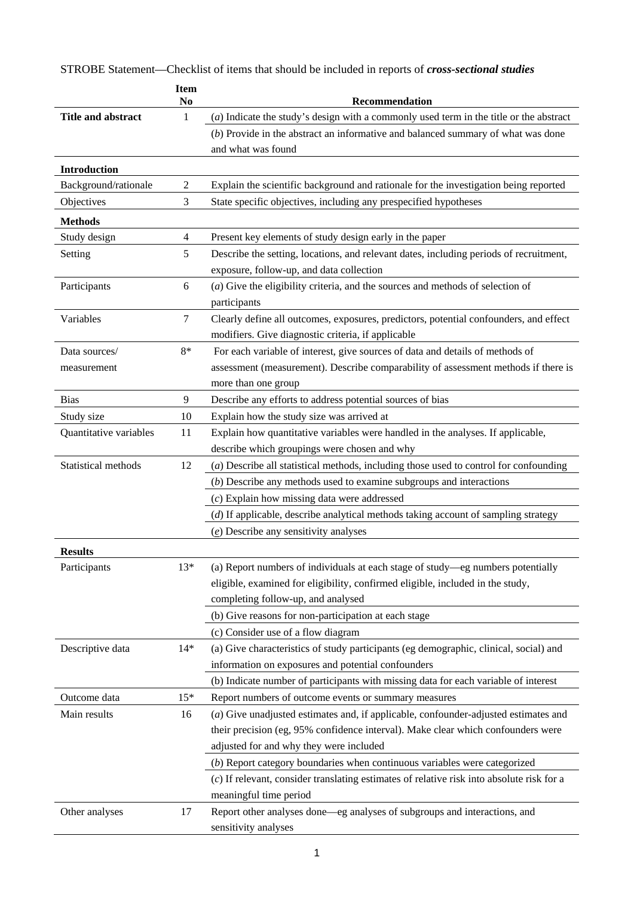|                           | <b>Item</b><br>No | Recommendation                                                                              |
|---------------------------|-------------------|---------------------------------------------------------------------------------------------|
| <b>Title and abstract</b> | 1                 | $(a)$ Indicate the study's design with a commonly used term in the title or the abstract    |
|                           |                   | $(b)$ Provide in the abstract an informative and balanced summary of what was done          |
|                           |                   | and what was found                                                                          |
| <b>Introduction</b>       |                   |                                                                                             |
| Background/rationale      | $\sqrt{2}$        | Explain the scientific background and rationale for the investigation being reported        |
| Objectives                | 3                 | State specific objectives, including any prespecified hypotheses                            |
| <b>Methods</b>            |                   |                                                                                             |
| Study design              | 4                 | Present key elements of study design early in the paper                                     |
| Setting                   | 5                 | Describe the setting, locations, and relevant dates, including periods of recruitment,      |
|                           |                   | exposure, follow-up, and data collection                                                    |
| Participants              | 6                 | $(a)$ Give the eligibility criteria, and the sources and methods of selection of            |
|                           |                   | participants                                                                                |
| Variables                 | $\tau$            | Clearly define all outcomes, exposures, predictors, potential confounders, and effect       |
|                           |                   | modifiers. Give diagnostic criteria, if applicable                                          |
| Data sources/             | $8*$              | For each variable of interest, give sources of data and details of methods of               |
| measurement               |                   | assessment (measurement). Describe comparability of assessment methods if there is          |
|                           |                   | more than one group                                                                         |
| <b>Bias</b>               | 9                 | Describe any efforts to address potential sources of bias                                   |
| Study size                | 10                | Explain how the study size was arrived at                                                   |
| Quantitative variables    | 11                | Explain how quantitative variables were handled in the analyses. If applicable,             |
|                           |                   | describe which groupings were chosen and why                                                |
| Statistical methods       | 12                | (a) Describe all statistical methods, including those used to control for confounding       |
|                           |                   | $(b)$ Describe any methods used to examine subgroups and interactions                       |
|                           |                   | $(c)$ Explain how missing data were addressed                                               |
|                           |                   | (d) If applicable, describe analytical methods taking account of sampling strategy          |
|                           |                   | $(e)$ Describe any sensitivity analyses                                                     |
| <b>Results</b>            |                   |                                                                                             |
| Participants              | $13*$             | (a) Report numbers of individuals at each stage of study-eg numbers potentially             |
|                           |                   | eligible, examined for eligibility, confirmed eligible, included in the study,              |
|                           |                   | completing follow-up, and analysed                                                          |
|                           |                   | (b) Give reasons for non-participation at each stage                                        |
|                           |                   | (c) Consider use of a flow diagram                                                          |
| Descriptive data          | $14*$             | (a) Give characteristics of study participants (eg demographic, clinical, social) and       |
|                           |                   | information on exposures and potential confounders                                          |
|                           |                   | (b) Indicate number of participants with missing data for each variable of interest         |
| Outcome data              | $15*$             | Report numbers of outcome events or summary measures                                        |
| Main results              | 16                | (a) Give unadjusted estimates and, if applicable, confounder-adjusted estimates and         |
|                           |                   | their precision (eg, 95% confidence interval). Make clear which confounders were            |
|                           |                   | adjusted for and why they were included                                                     |
|                           |                   | $(b)$ Report category boundaries when continuous variables were categorized                 |
|                           |                   | $(c)$ If relevant, consider translating estimates of relative risk into absolute risk for a |
|                           |                   | meaningful time period                                                                      |
| Other analyses            | 17                | Report other analyses done-eg analyses of subgroups and interactions, and                   |
|                           |                   | sensitivity analyses                                                                        |

STROBE Statement—Checklist of items that should be included in reports of *cross-sectional studies*